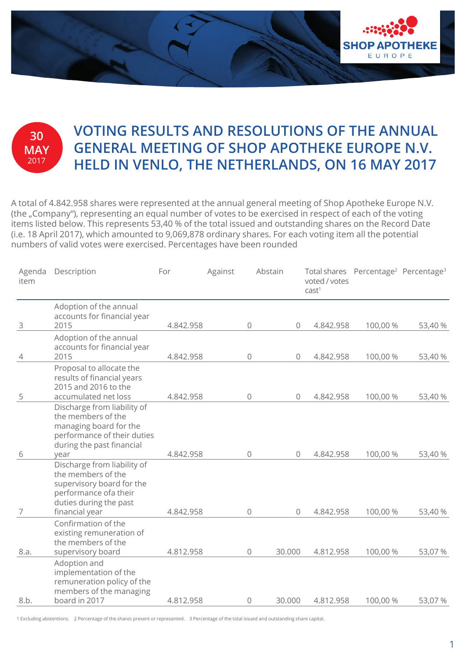

## **30 MAY** 2017

## **VOTING RESULTS AND RESOLUTIONS OF THE ANNUAL GENERAL MEETING OF SHOP APOTHEKE EUROPE N.V. HELD IN VENLO, THE NETHERLANDS, ON 16 MAY 2017**

A total of 4.842.958 shares were represented at the annual general meeting of Shop Apotheke Europe N.V. (the "Company"), representing an equal number of votes to be exercised in respect of each of the voting items listed below. This represents 53,40 % of the total issued and outstanding shares on the Record Date (i.e. 18 April 2017), which amounted to 9,069,878 ordinary shares. For each voting item all the potential numbers of valid votes were exercised. Percentages have been rounded

| Agenda<br>item | Description                                                                                                                                         | For       | Against | Abstain      |              | voted / votes<br>cast <sup>1</sup> | Total shares Percentage <sup>2</sup> Percentage <sup>3</sup> |         |
|----------------|-----------------------------------------------------------------------------------------------------------------------------------------------------|-----------|---------|--------------|--------------|------------------------------------|--------------------------------------------------------------|---------|
| 3              | Adoption of the annual<br>accounts for financial year<br>2015                                                                                       | 4.842.958 |         | $\mathsf{O}$ | $\mathbf 0$  | 4.842.958                          | 100,00 %                                                     | 53,40 % |
| 4              | Adoption of the annual<br>accounts for financial year<br>2015                                                                                       | 4.842.958 |         | $\mathsf{O}$ | $\circ$      | 4.842.958                          | 100,00 %                                                     | 53,40 % |
| 5              | Proposal to allocate the<br>results of financial years<br>2015 and 2016 to the<br>accumulated net loss                                              | 4.842.958 |         | 0            | $\mathbf{0}$ | 4.842.958                          | 100,00 %                                                     | 53,40 % |
| 6              | Discharge from liability of<br>the members of the<br>managing board for the<br>performance of their duties<br>during the past financial<br>year     | 4.842.958 |         | 0            | $\Omega$     | 4.842.958                          | 100,00 %                                                     | 53,40 % |
| 7              | Discharge from liability of<br>the members of the<br>supervisory board for the<br>performance ofa their<br>duties during the past<br>financial year | 4.842.958 |         | 0            | $\Omega$     | 4.842.958                          | 100,00 %                                                     | 53,40 % |
| 8.a.           | Confirmation of the<br>existing remuneration of<br>the members of the<br>supervisory board                                                          | 4.812.958 |         | 0            | 30.000       | 4.812.958                          | 100,00 %                                                     | 53,07 % |
| 8.b.           | Adoption and<br>implementation of the<br>remuneration policy of the<br>members of the managing<br>board in 2017                                     | 4.812.958 |         | $\mathbf 0$  | 30.000       | 4.812.958                          | 100,00 %                                                     | 53,07 % |

1 Excluding abstentions. 2 Percentage of the shares present or represented. 3 Percentage of the total issued and outstanding share capital.